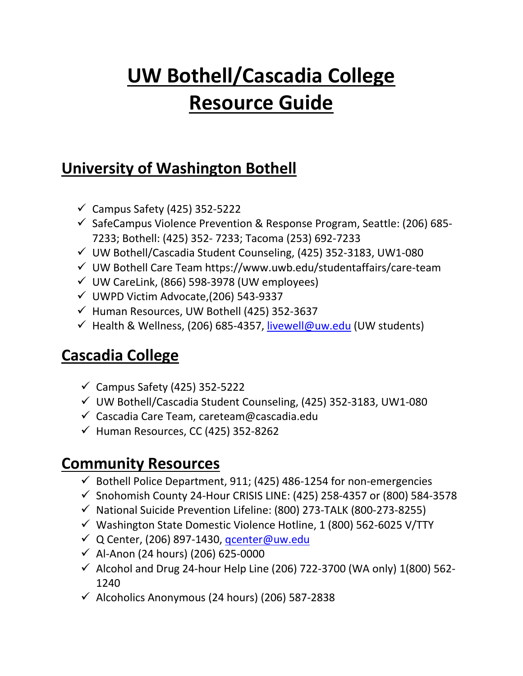## **UW Bothell/Cascadia College Resource Guide**

## **University of Washington Bothell**

- $\checkmark$  Campus Safety (425) 352-5222
- $\checkmark$  SafeCampus Violence Prevention & Response Program, Seattle: (206) 685-7233; Bothell: (425) 352- 7233; Tacoma (253) 692-7233
- $\checkmark$  UW Bothell/Cascadia Student Counseling, (425) 352-3183, UW1-080
- $\checkmark$  UW Bothell Care Team https://www.uwb.edu/studentaffairs/care-team
- $\nu$  UW CareLink, (866) 598-3978 (UW employees)
- $\nu$  UWPD Victim Advocate, (206) 543-9337
- $\checkmark$  Human Resources, UW Bothell (425) 352-3637
- $\checkmark$  Health & Wellness, (206) 685-4357, [livewell@uw.edu](mailto:livewell@uw.edu) (UW students)

## **Cascadia College**

- $\checkmark$  Campus Safety (425) 352-5222
- $\nu$  UW Bothell/Cascadia Student Counseling, (425) 352-3183, UW1-080
- $\checkmark$  Cascadia Care Team, careteam@cascadia.edu
- $\checkmark$  Human Resources, CC (425) 352-8262

## **Community Resources**

- $\checkmark$  Bothell Police Department, 911; (425) 486-1254 for non-emergencies
- $\checkmark$  Snohomish County 24-Hour CRISIS LINE: (425) 258-4357 or (800) 584-3578
- $\checkmark$  National Suicide Prevention Lifeline: (800) 273-TALK (800-273-8255)
- $\checkmark$  Washington State Domestic Violence Hotline, 1 (800) 562-6025 V/TTY
- Q Center, (206) 897-1430, [qcenter@uw.edu](mailto:qcenter@uw.edu)
- $\checkmark$  Al-Anon (24 hours) (206) 625-0000
- $\checkmark$  Alcohol and Drug 24-hour Help Line (206) 722-3700 (WA only) 1(800) 562-1240
- $\checkmark$  Alcoholics Anonymous (24 hours) (206) 587-2838